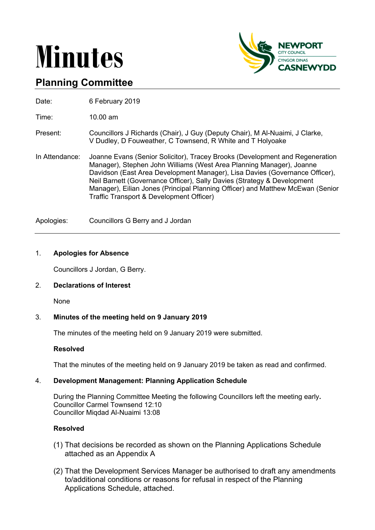# **Minutes**



# **Planning Committee**

Date: 6 February 2019

Time: 10.00 am

- Present: Councillors J Richards (Chair), J Guy (Deputy Chair), M Al-Nuaimi, J Clarke, V Dudley, D Fouweather, C Townsend, R White and T Holyoake
- In Attendance: Joanne Evans (Senior Solicitor), Tracey Brooks (Development and Regeneration Manager), Stephen John Williams (West Area Planning Manager), Joanne Davidson (East Area Development Manager), Lisa Davies (Governance Officer), Neil Barnett (Governance Officer), Sally Davies (Strategy & Development Manager), Eilian Jones (Principal Planning Officer) and Matthew McEwan (Senior Traffic Transport & Development Officer)

Apologies: Councillors G Berry and J Jordan

## 1. **Apologies for Absence**

Councillors J Jordan, G Berry.

## 2. **Declarations of Interest**

None

## 3. **Minutes of the meeting held on 9 January 2019**

The minutes of the meeting held on 9 January 2019 were submitted.

#### **Resolved**

That the minutes of the meeting held on 9 January 2019 be taken as read and confirmed.

#### 4. **Development Management: Planning Application Schedule**

During the Planning Committee Meeting the following Councillors left the meeting early**.** Councillor Carmel Townsend 12:10 Councillor Miqdad Al-Nuaimi 13:08

#### **Resolved**

- (1) That decisions be recorded as shown on the Planning Applications Schedule attached as an Appendix A
- (2) That the Development Services Manager be authorised to draft any amendments to/additional conditions or reasons for refusal in respect of the Planning Applications Schedule, attached.